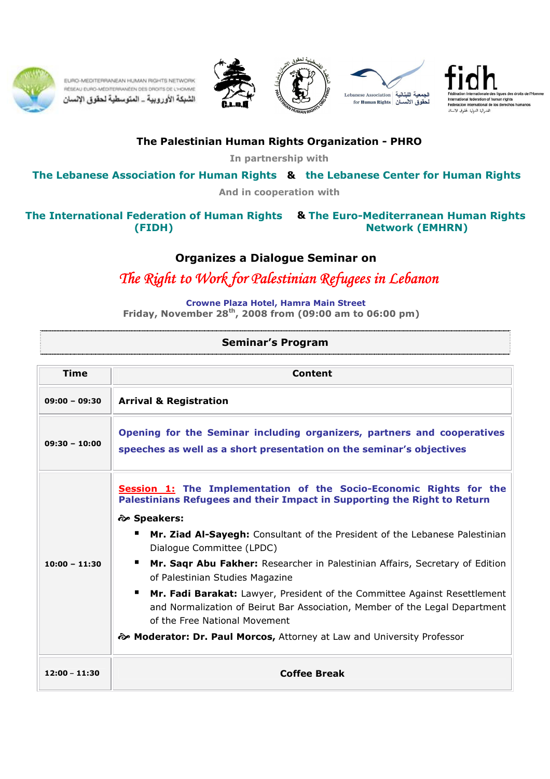

EURO-MEDITERRANEAN HUMAN RIGHTS NETWORK RÉSEAU EURO-MÉDITERRANÉEN DES DROITS DE L'HOMME الشبكة الأوروبية \_ المتوسطية لحقوق الإنسان









## The Palestinian Human Rights Organization - PHRO

In partnership with

The Lebanese Association for Human Rights & the Lebanese Center for Human Rights

And in cooperation with

## & The International Federation of Human Rights The Euro-Mediterranean Human Rights (FIDH) Network (EMHRN)

## Organizes a Dialogue Seminar on

The Right to Work for Palestinian Refugees in Lebanon

Crowne Plaza Hotel, Hamra Main Street

Friday, November  $28^{th}$ , 2008 from (09:00 am to 06:00 pm)

| <b>Seminar's Program</b> |  |
|--------------------------|--|

| Time            | Content                                                                                                                                                                                                                                                                                                                                                                                                                                                                                                                                                                                                                                                                                  |  |  |
|-----------------|------------------------------------------------------------------------------------------------------------------------------------------------------------------------------------------------------------------------------------------------------------------------------------------------------------------------------------------------------------------------------------------------------------------------------------------------------------------------------------------------------------------------------------------------------------------------------------------------------------------------------------------------------------------------------------------|--|--|
| $09:00 - 09:30$ | <b>Arrival &amp; Registration</b>                                                                                                                                                                                                                                                                                                                                                                                                                                                                                                                                                                                                                                                        |  |  |
| $09:30 - 10:00$ | Opening for the Seminar including organizers, partners and cooperatives<br>speeches as well as a short presentation on the seminar's objectives                                                                                                                                                                                                                                                                                                                                                                                                                                                                                                                                          |  |  |
| $10:00 - 11:30$ | Session 1: The Implementation of the Socio-Economic Rights for the<br>Palestinians Refugees and their Impact in Supporting the Right to Return<br><b><i>ক্ত</i> Speakers:</b><br>п<br>Mr. Ziad Al-Sayegh: Consultant of the President of the Lebanese Palestinian<br>Dialogue Committee (LPDC)<br>Mr. Sagr Abu Fakher: Researcher in Palestinian Affairs, Secretary of Edition<br>of Palestinian Studies Magazine<br>Mr. Fadi Barakat: Lawyer, President of the Committee Against Resettlement<br>and Normalization of Beirut Bar Association, Member of the Legal Department<br>of the Free National Movement<br>� Moderator: Dr. Paul Morcos, Attorney at Law and University Professor |  |  |
| $12:00 - 11:30$ | <b>Coffee Break</b>                                                                                                                                                                                                                                                                                                                                                                                                                                                                                                                                                                                                                                                                      |  |  |